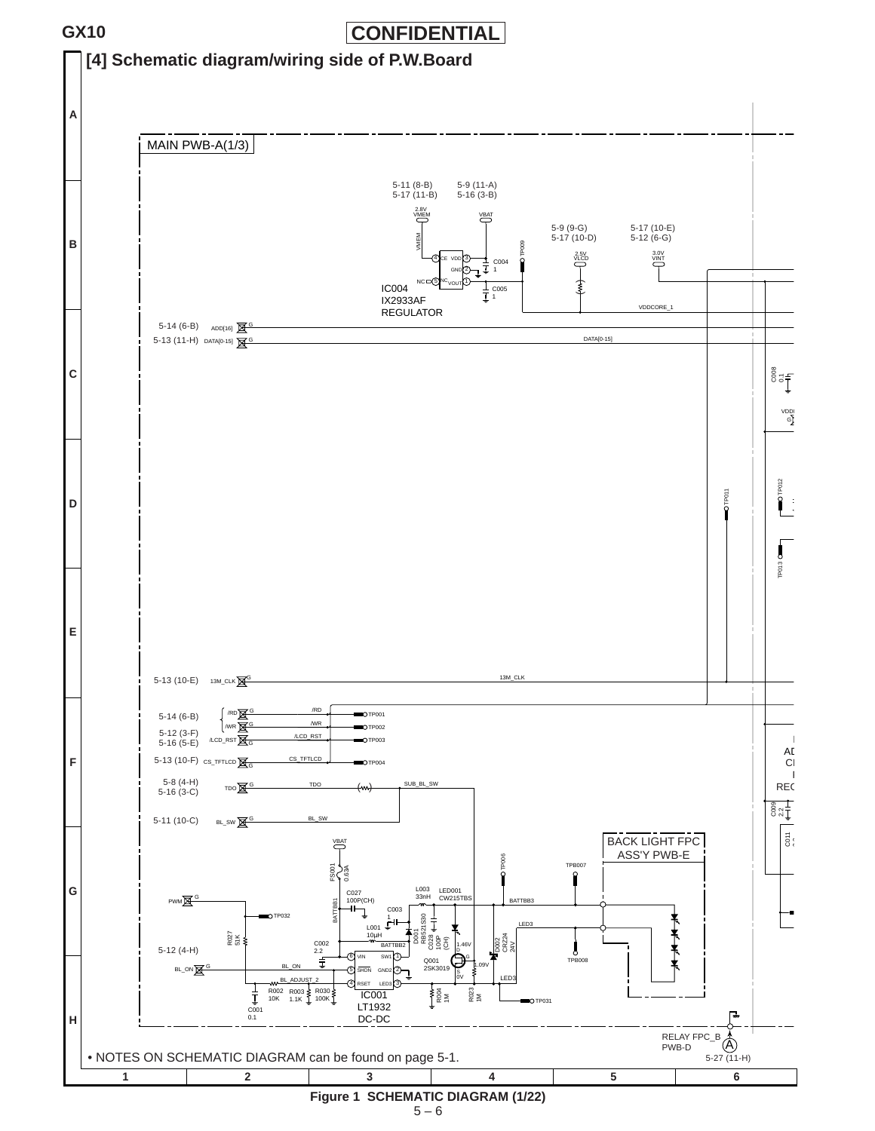### **[4] Schematic diagram/wiring side of P.W.Board**



 $5 - 6$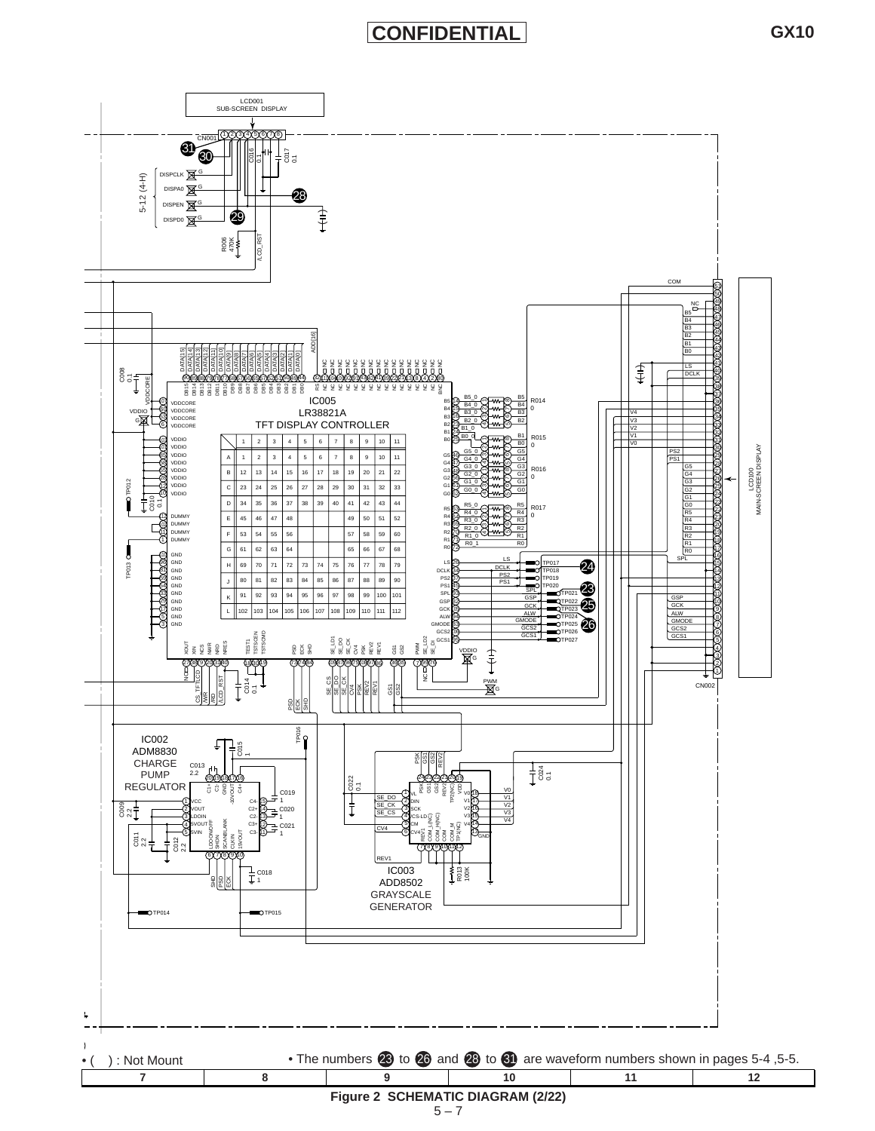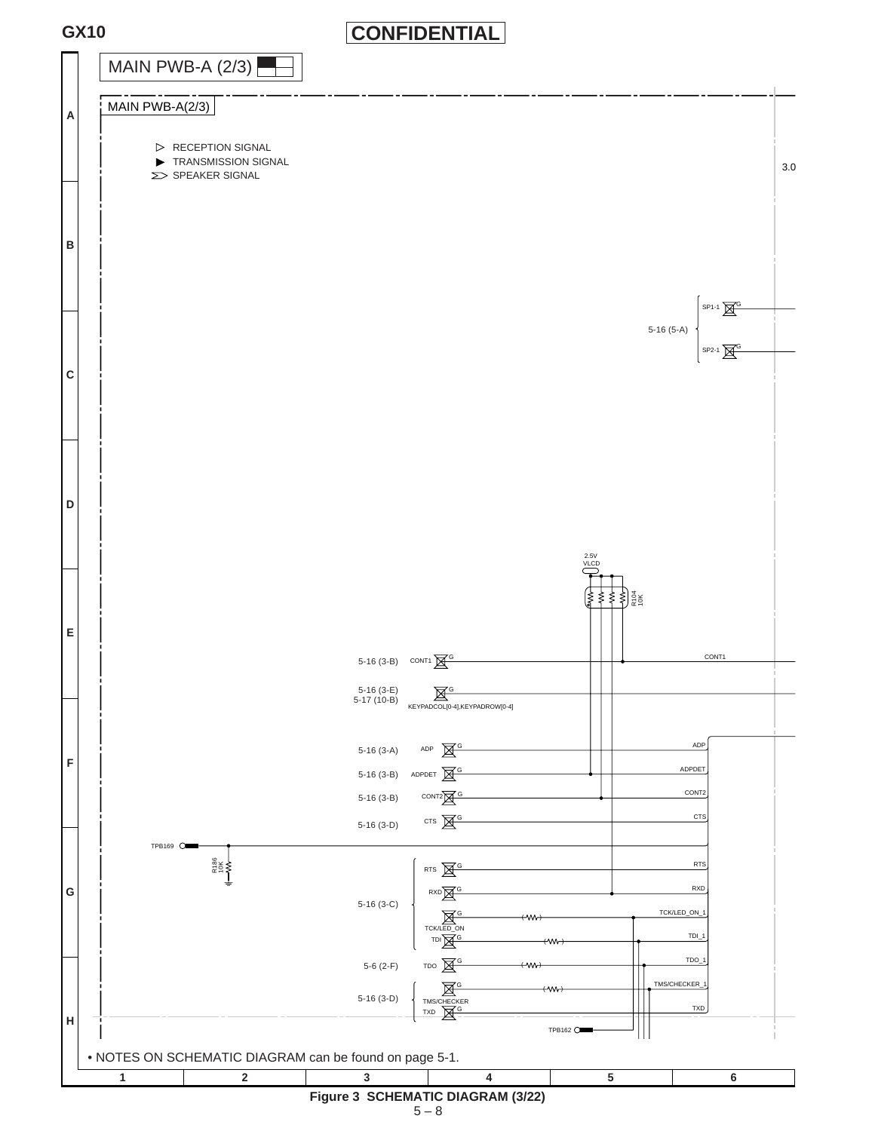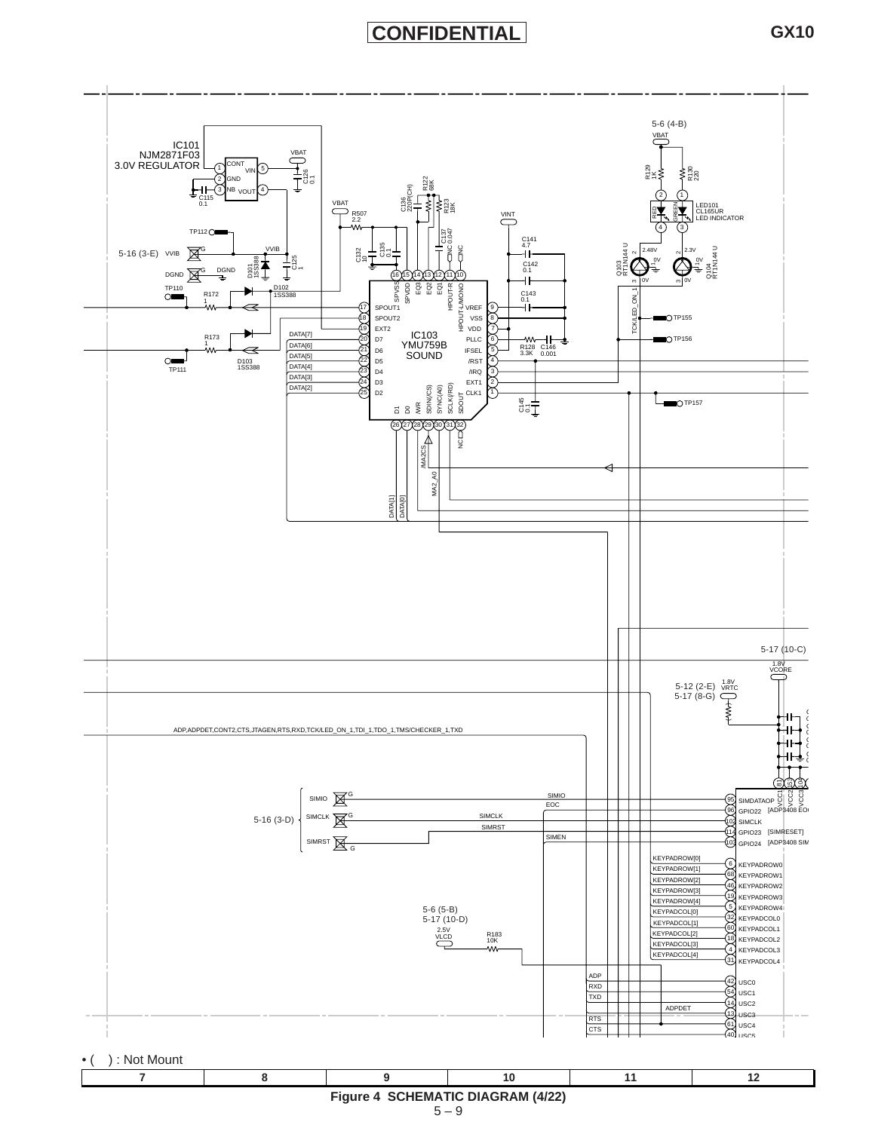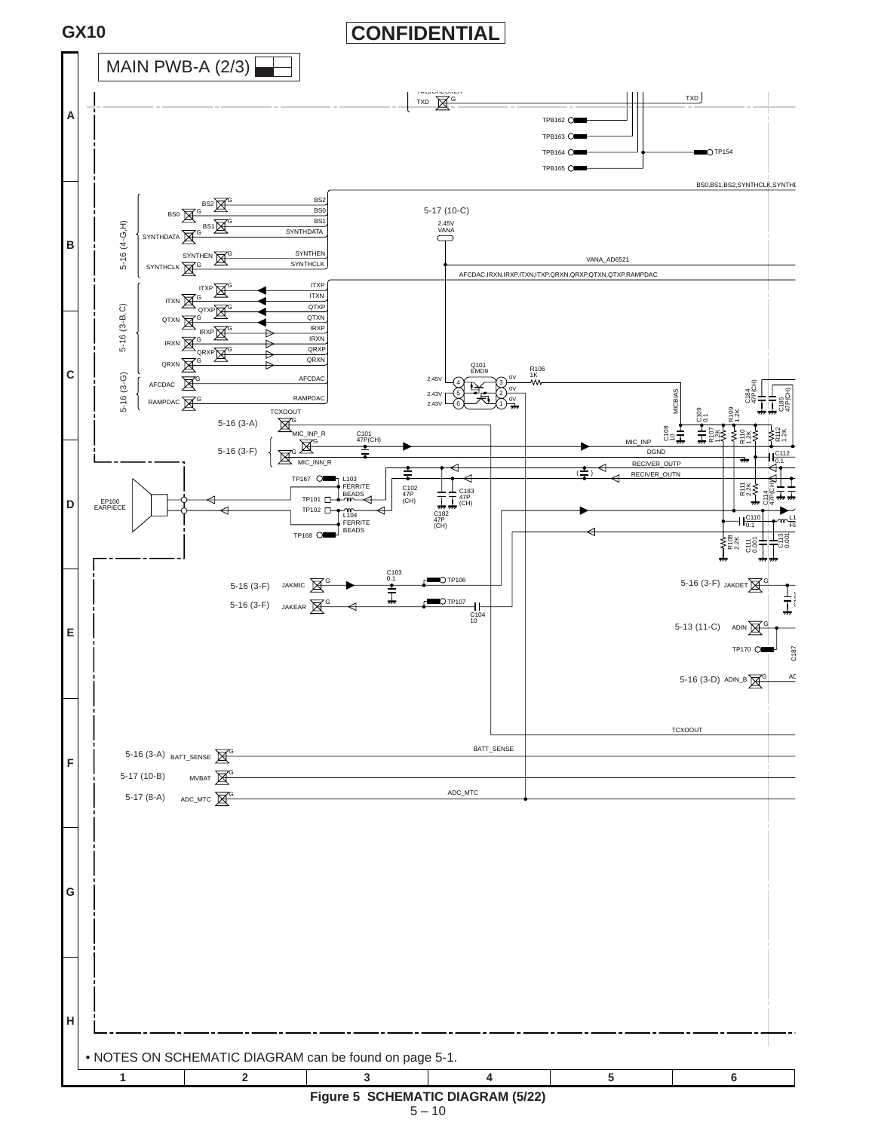

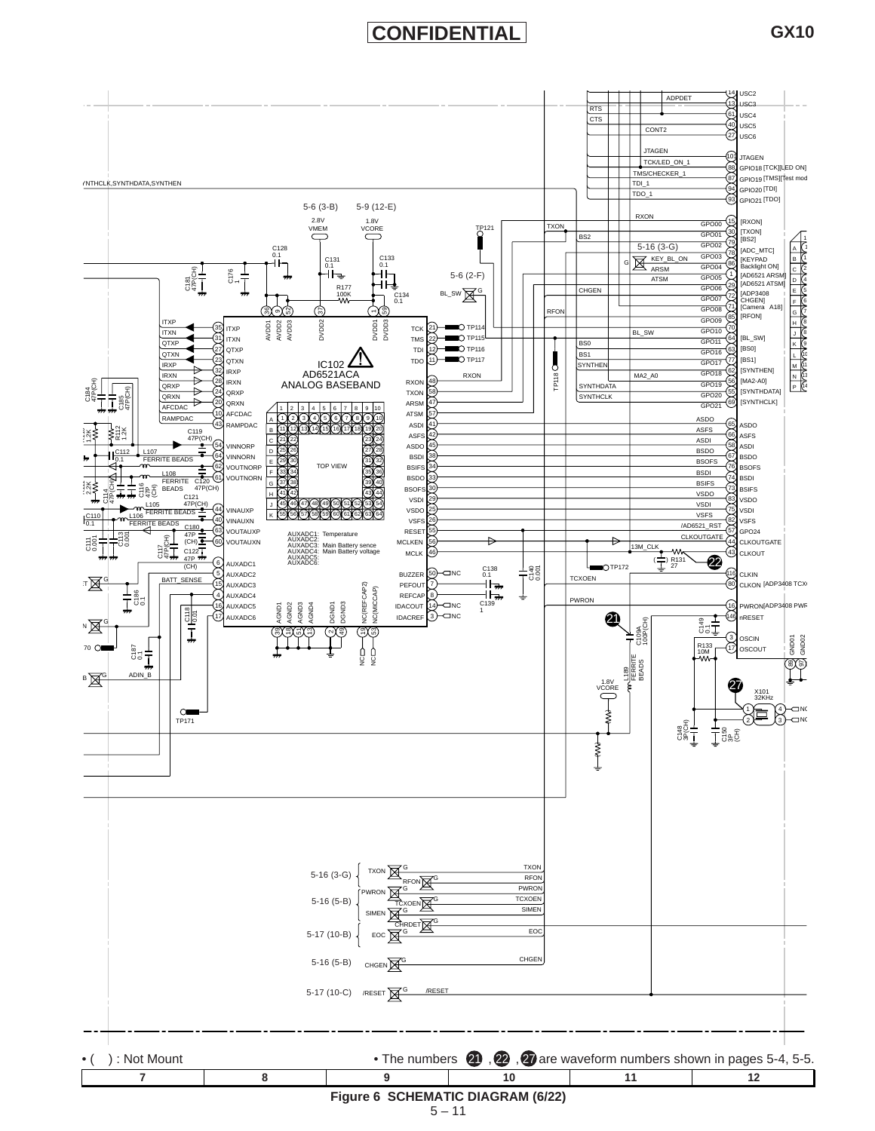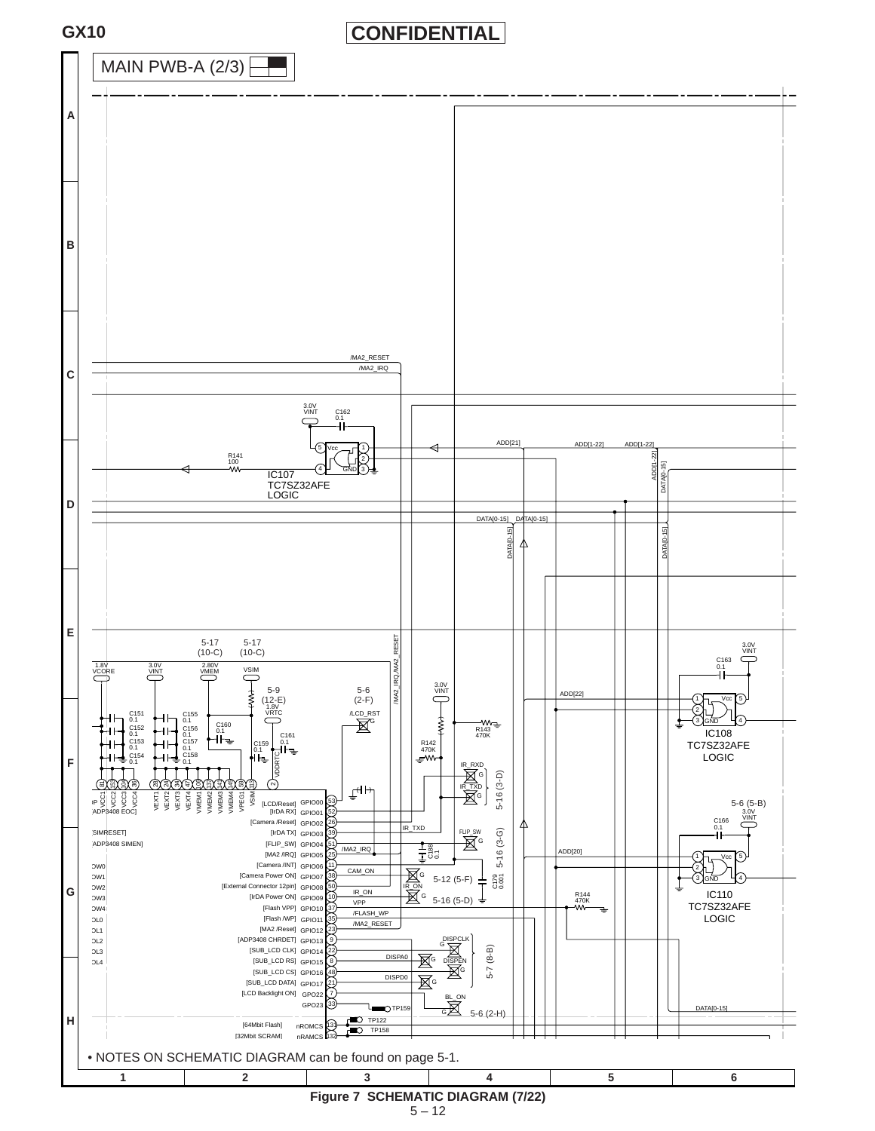

 $5 - 12$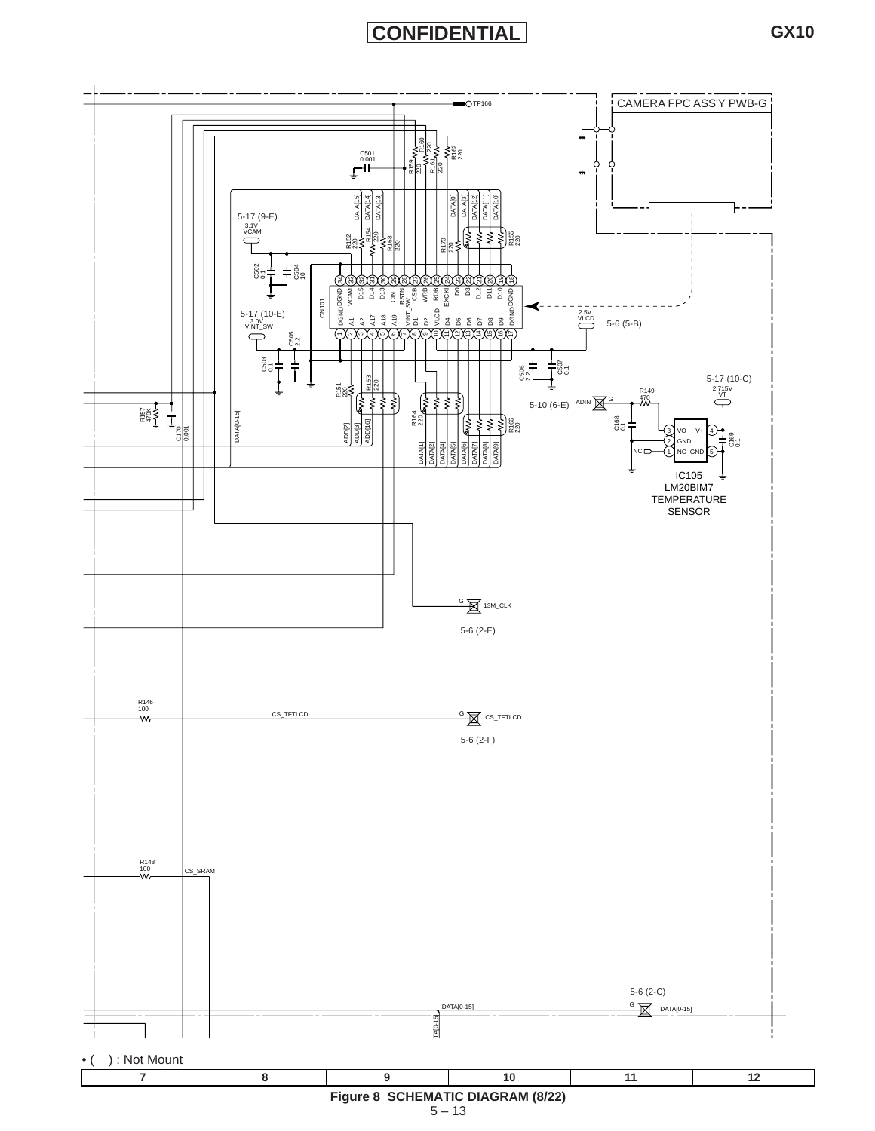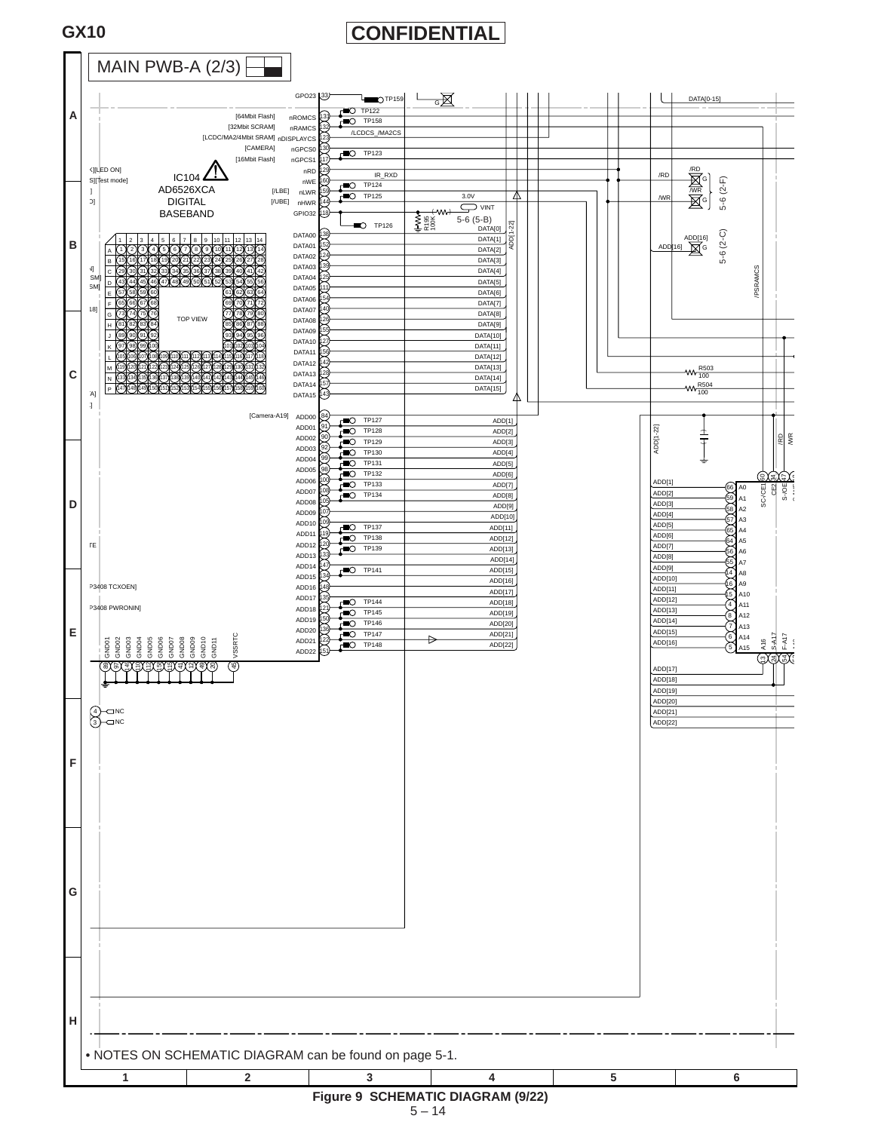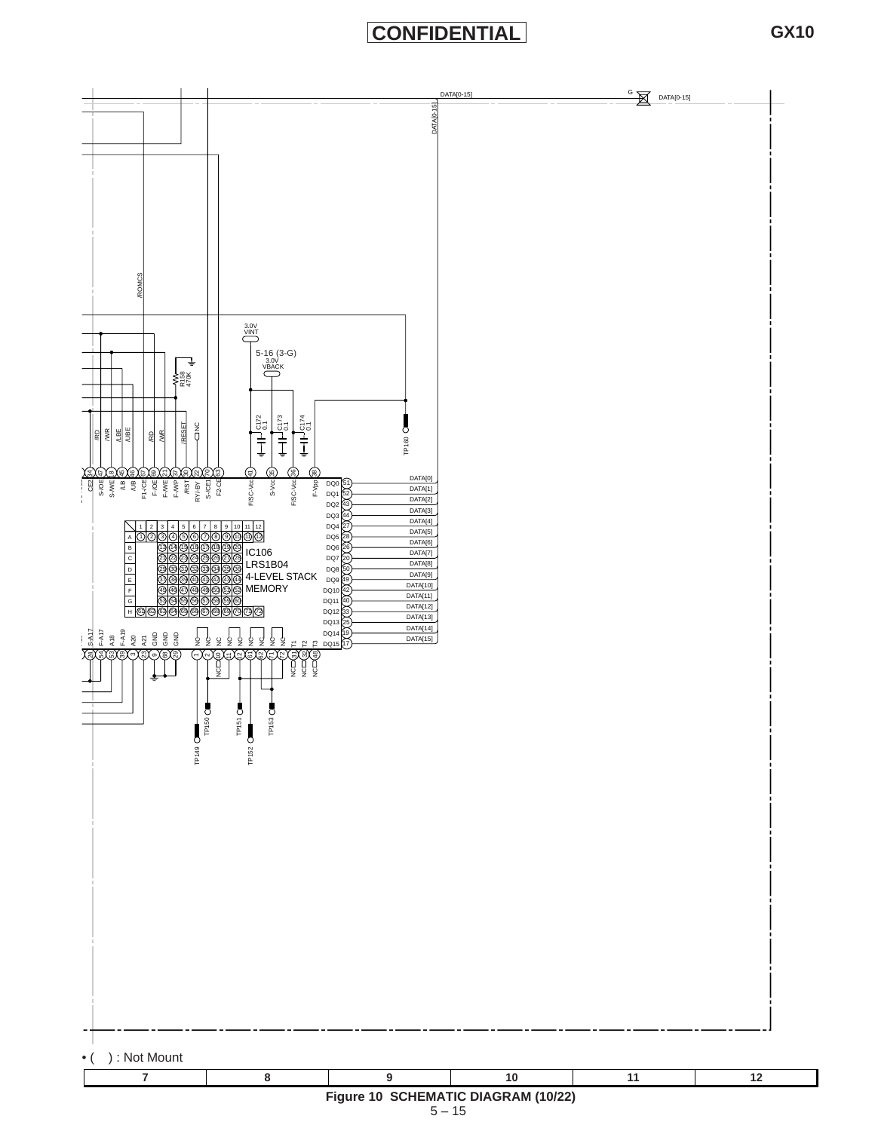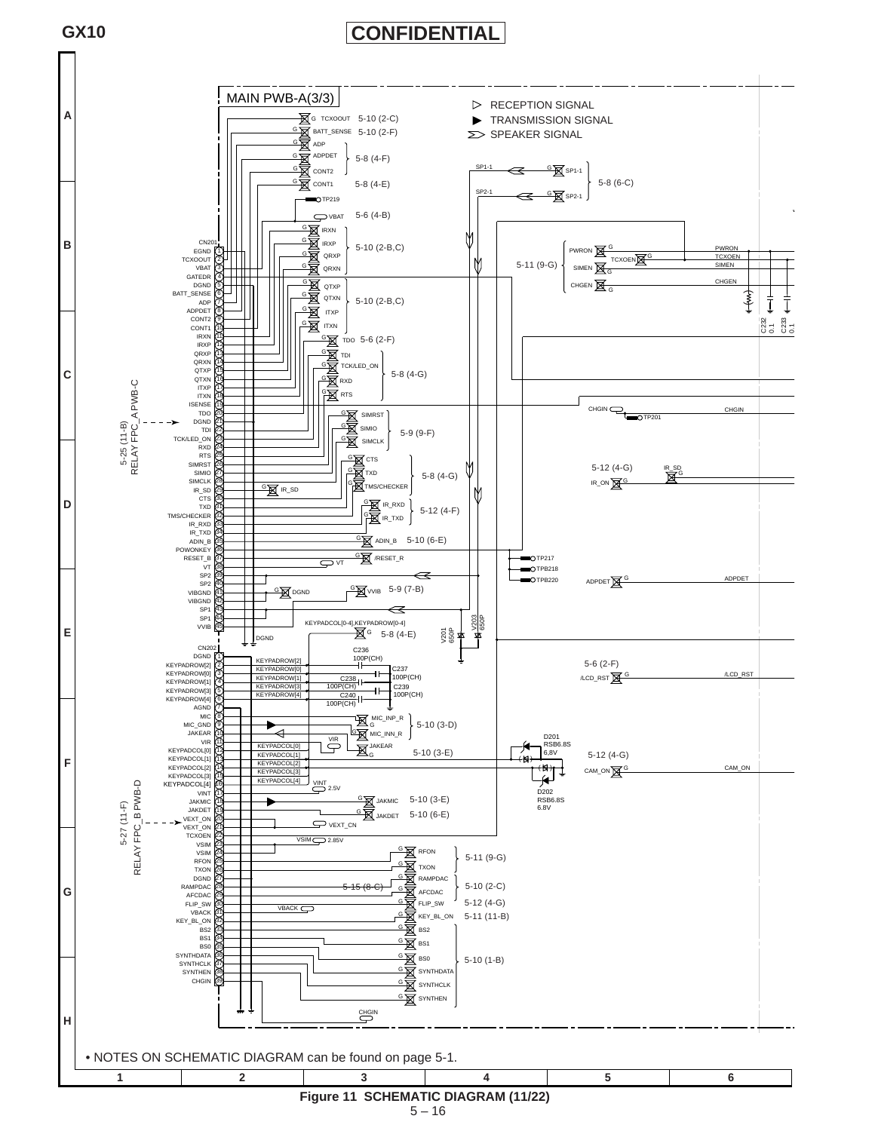

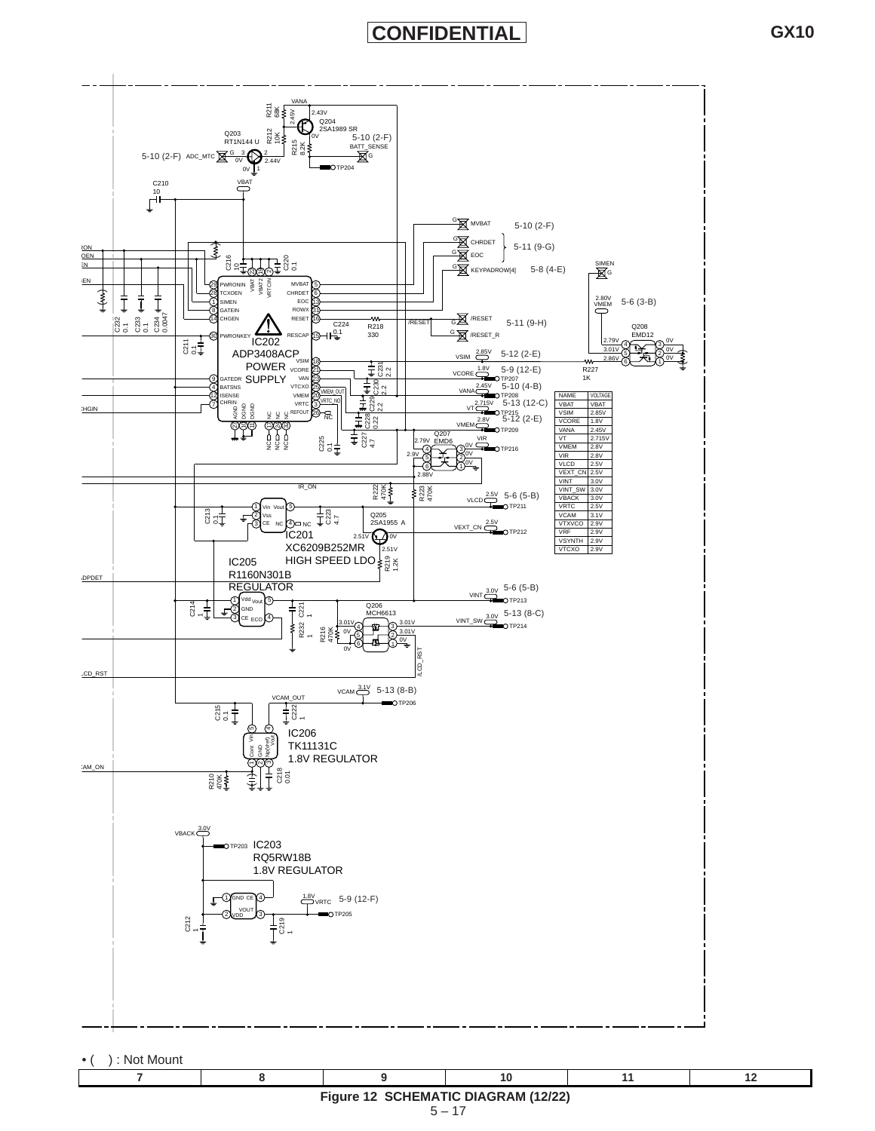

• ( ) : Not Mount

| Figure 12 SCHEMATIC DIAGRAM (12/22) |  |    |  |  |  |  |  |  |  |
|-------------------------------------|--|----|--|--|--|--|--|--|--|
|                                     |  | ᄃㅡ |  |  |  |  |  |  |  |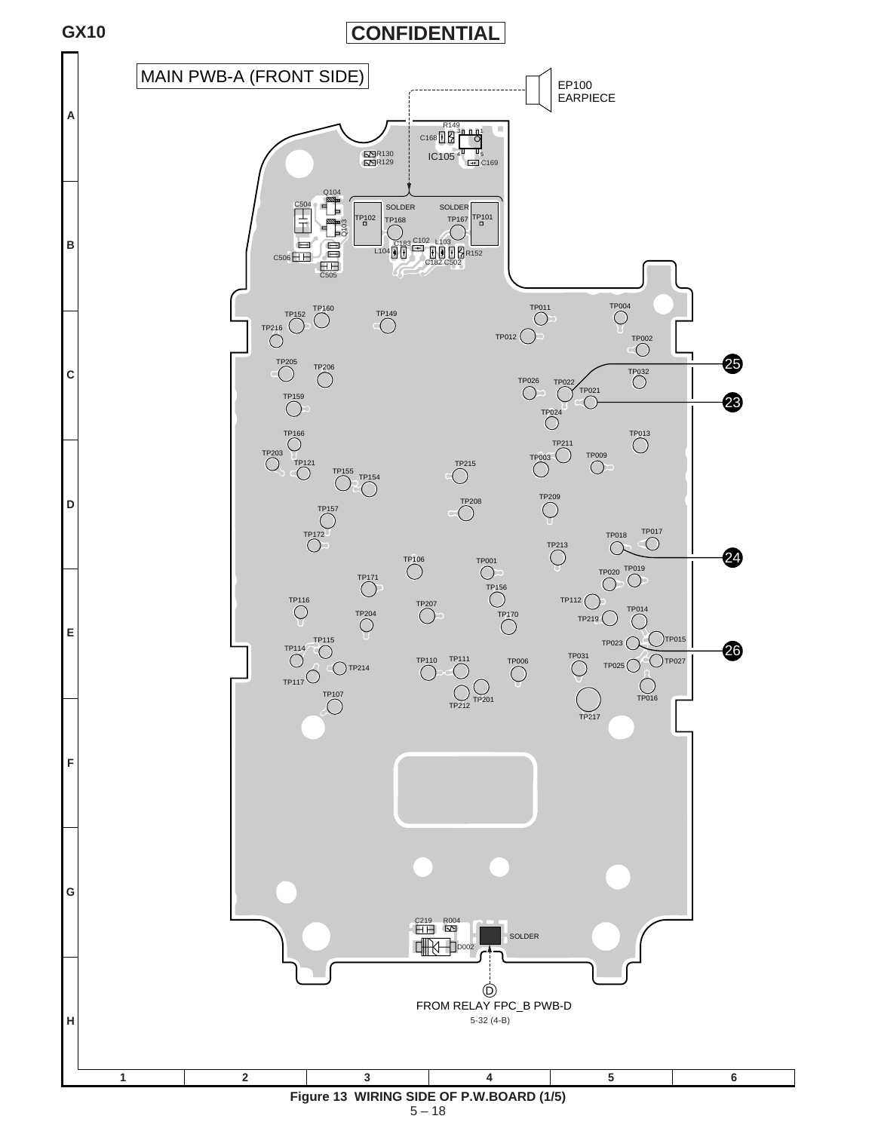

### **Figure 13 WIRING SIDE OF P.W.BOARD (1/5)**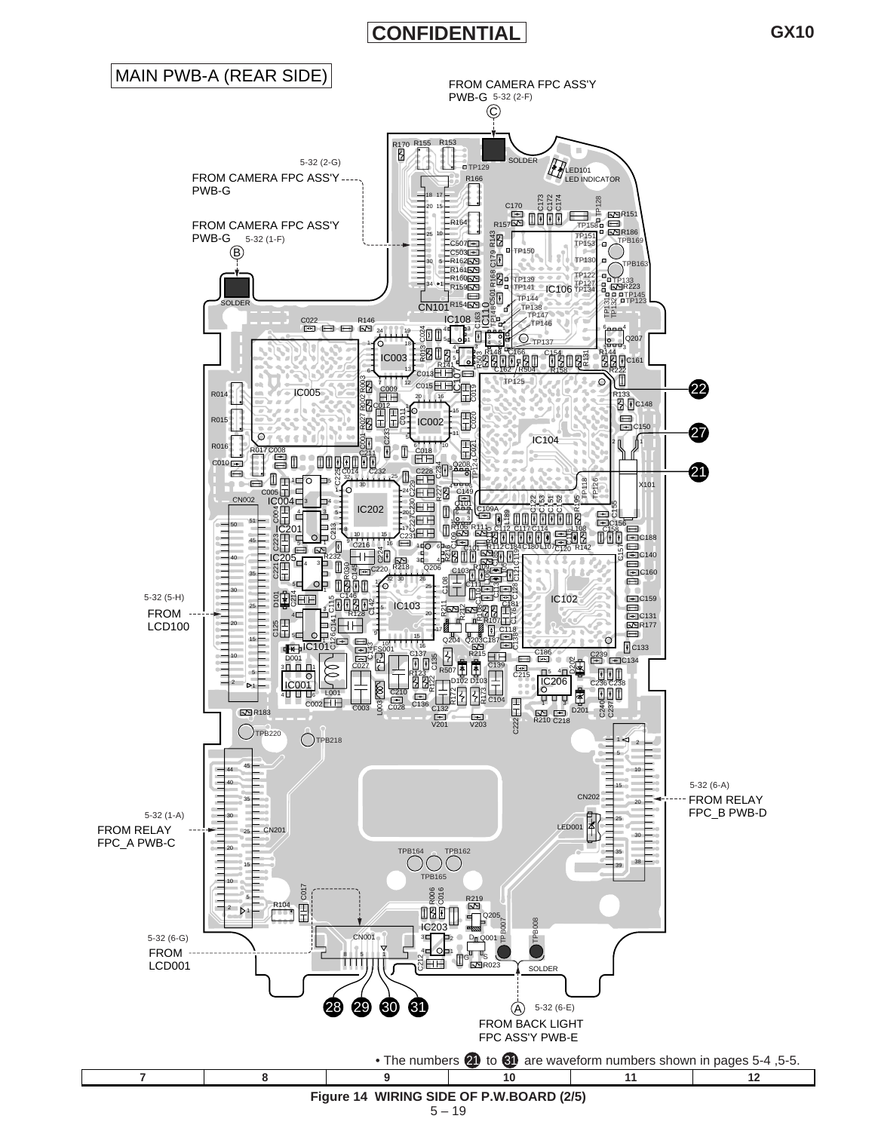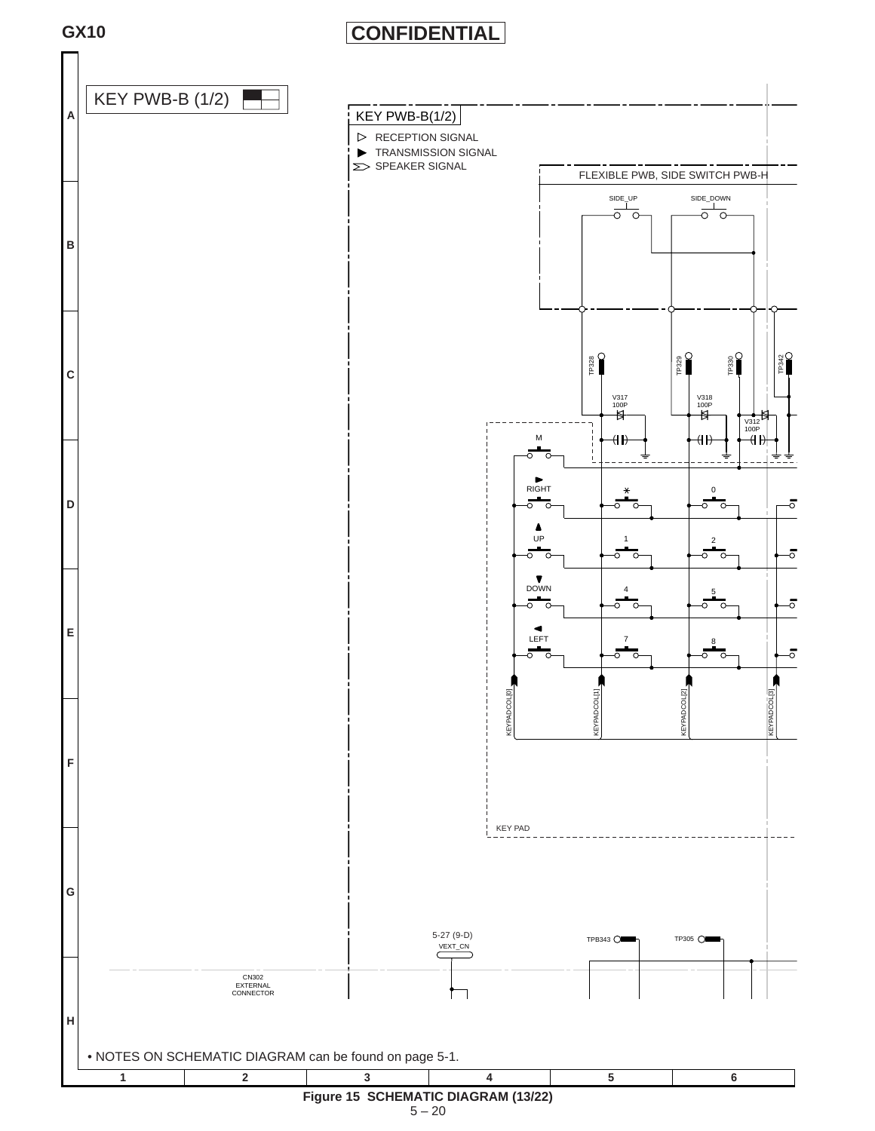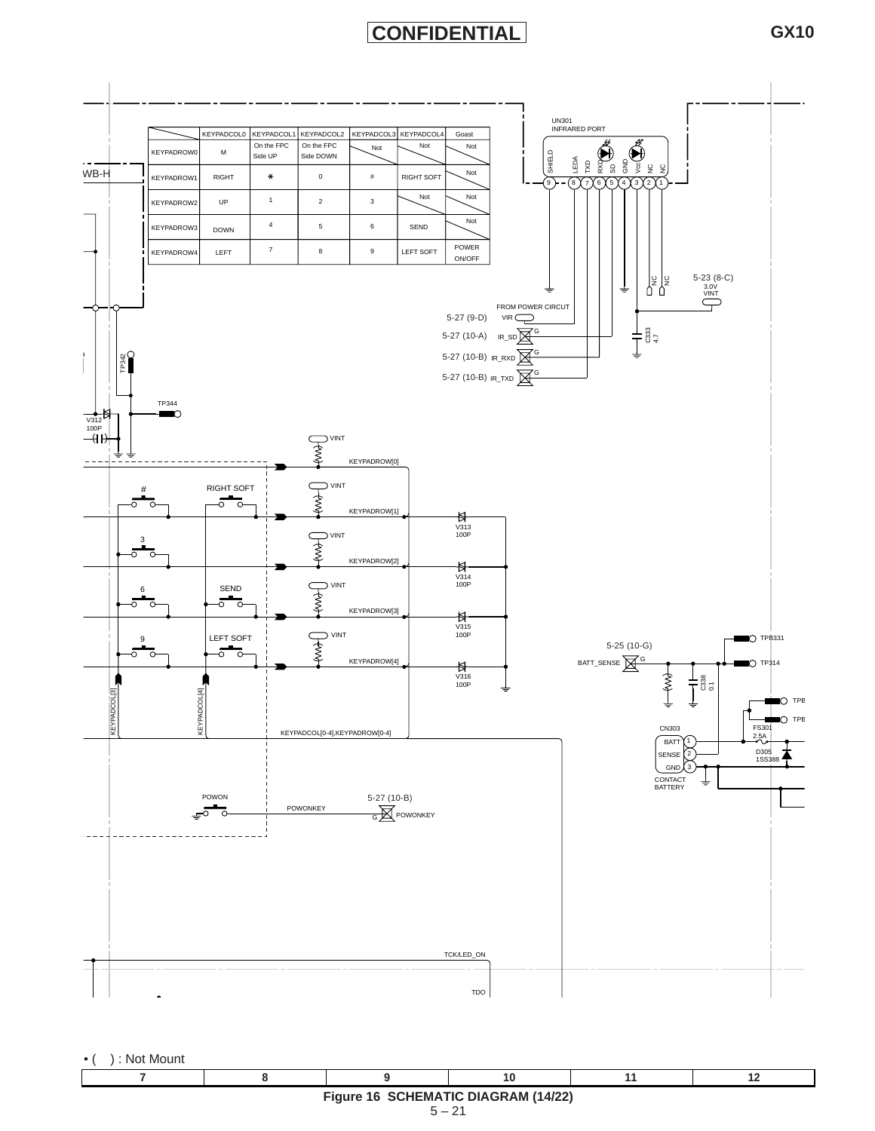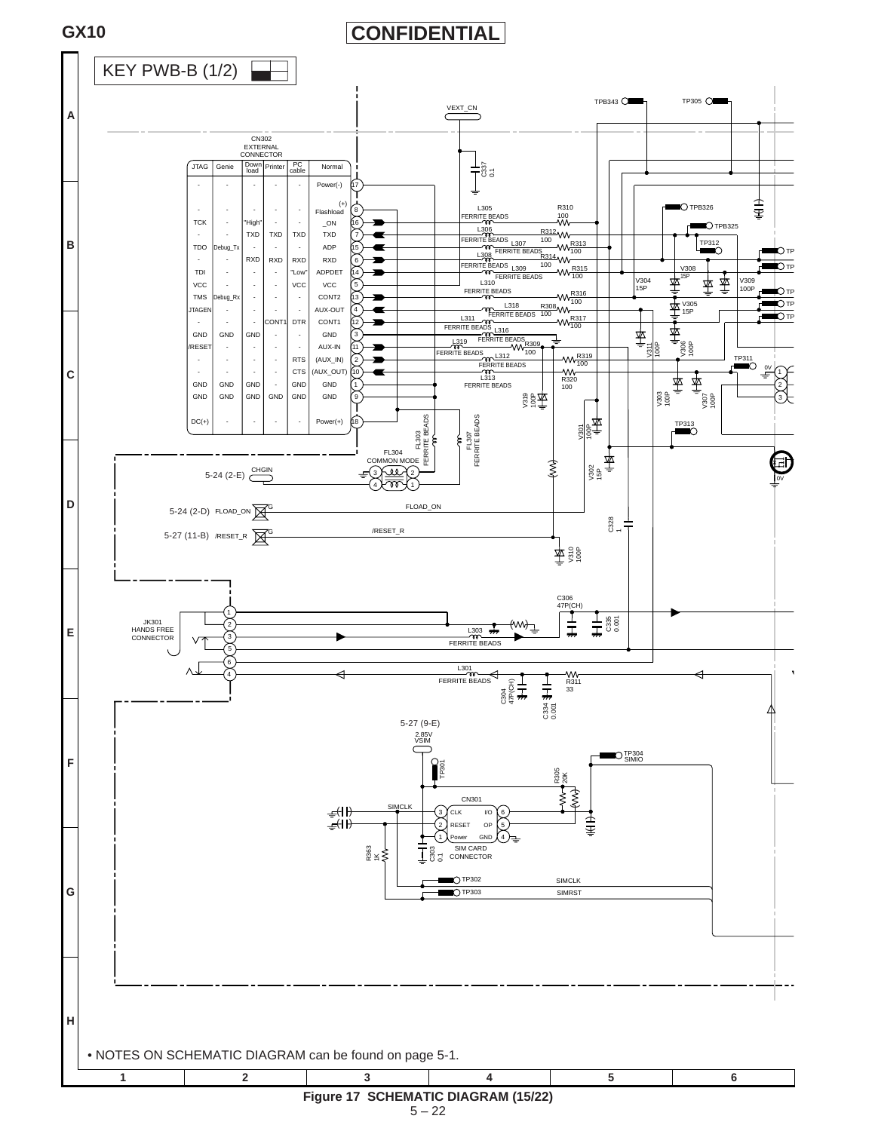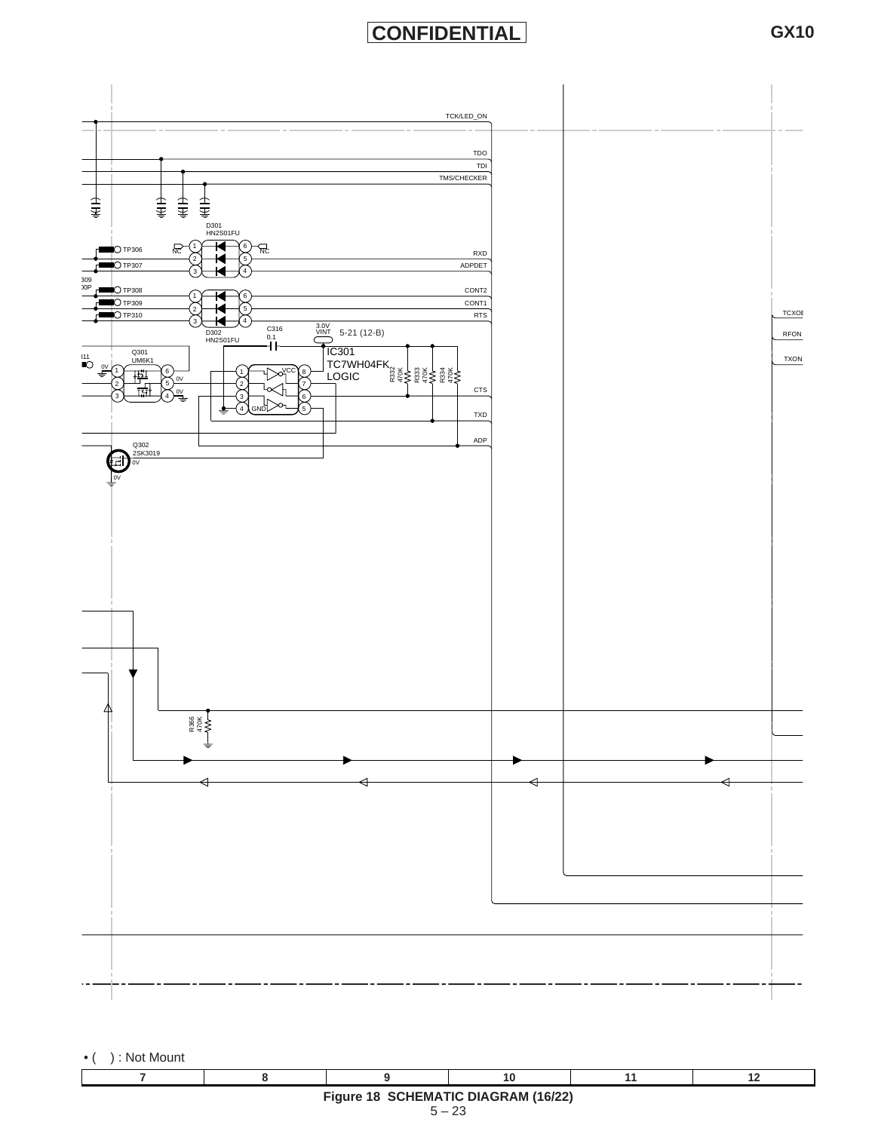

 $5 - 23$ **Figure 18 SCHEMATIC DIAGRAM (16/22)**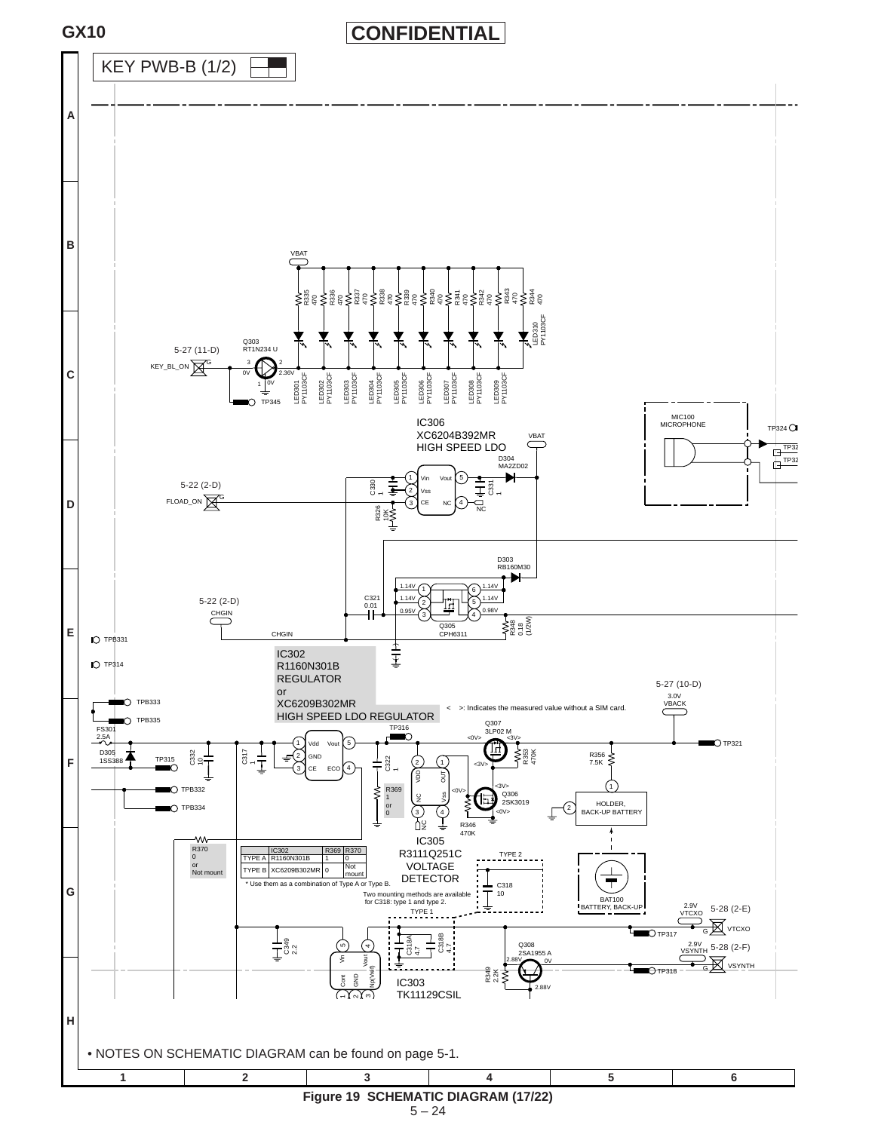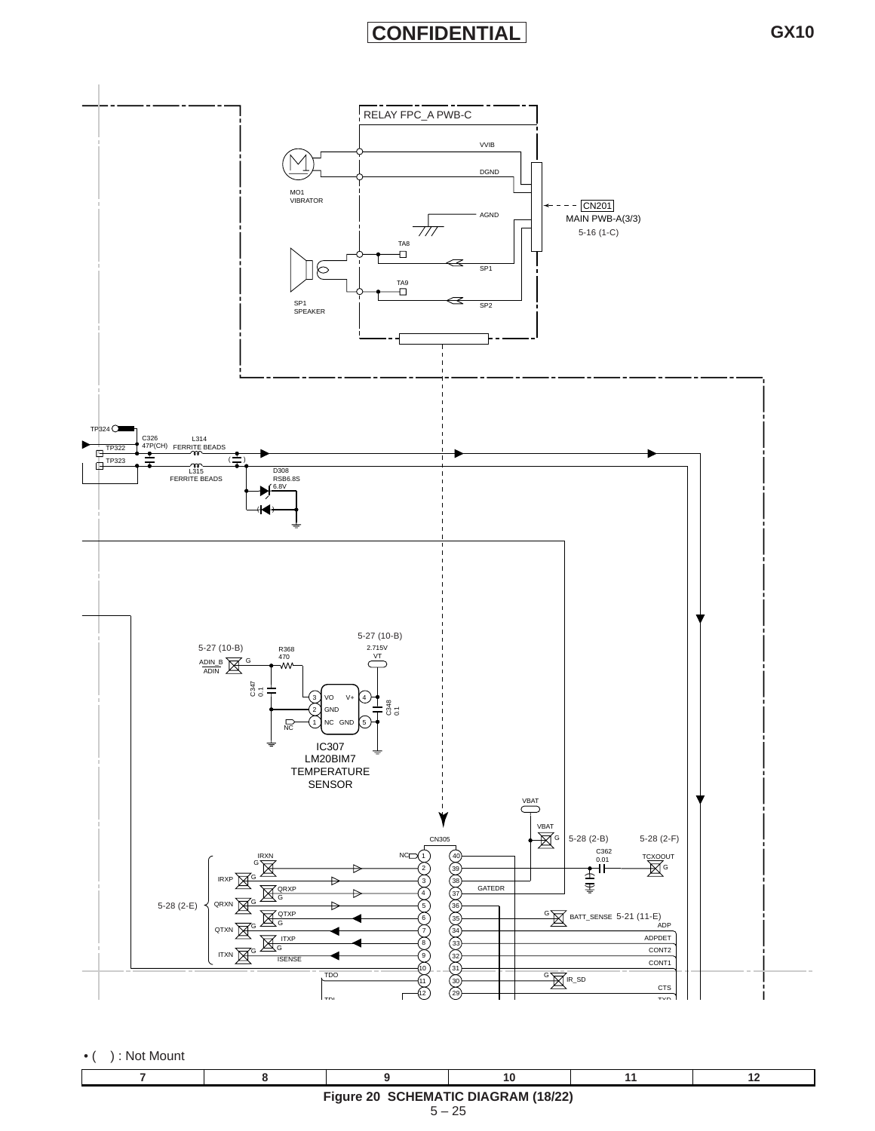

• ( ) : Not Mount

 $5 - 25$ **789 10 11 12 Figure 20 SCHEMATIC DIAGRAM (18/22)**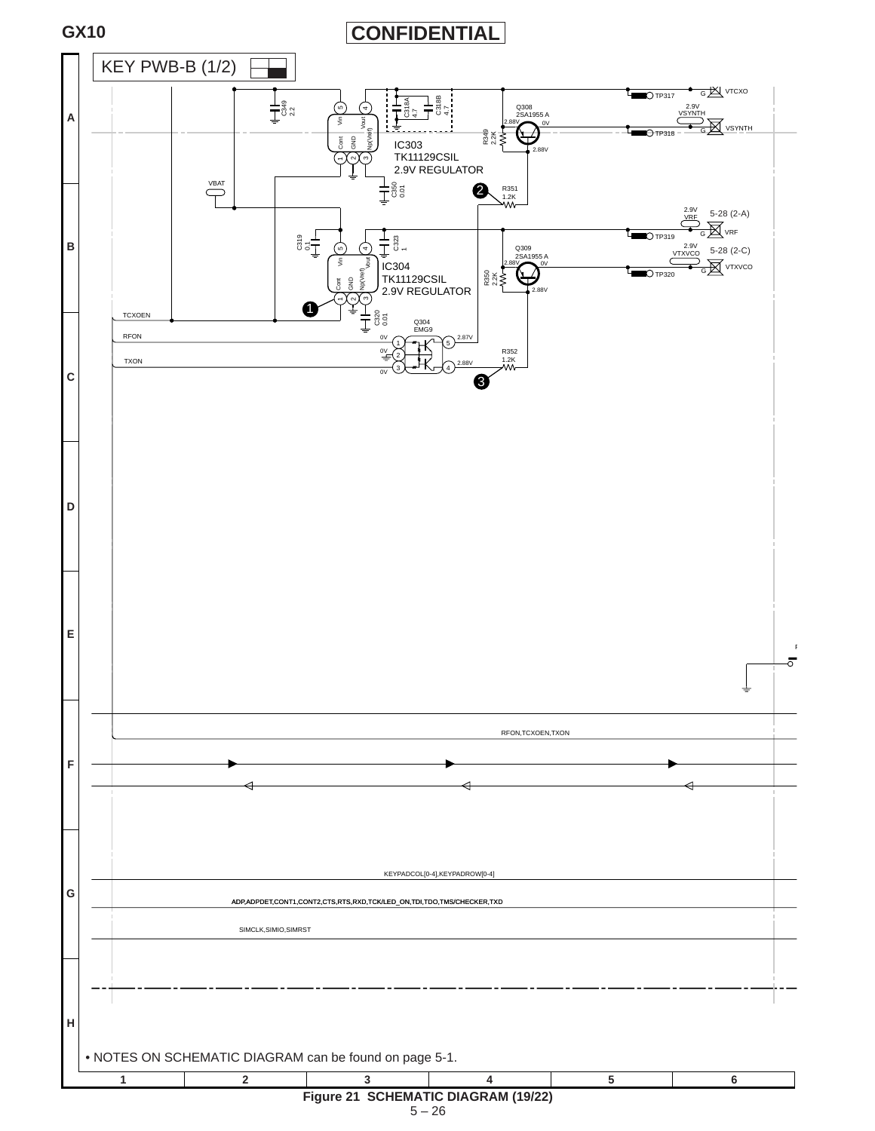



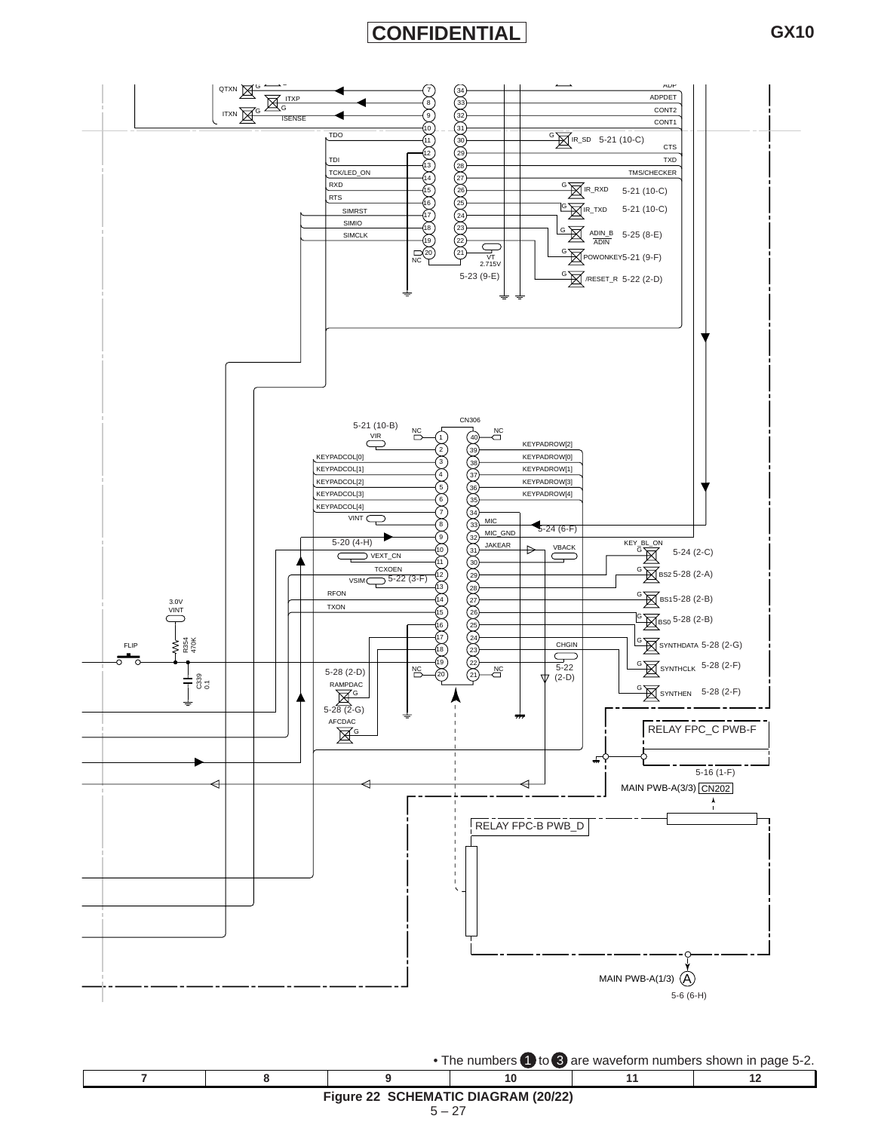

 $5 - 27$ **Figure 22 SCHEMATIC DIAGRAM (20/22)**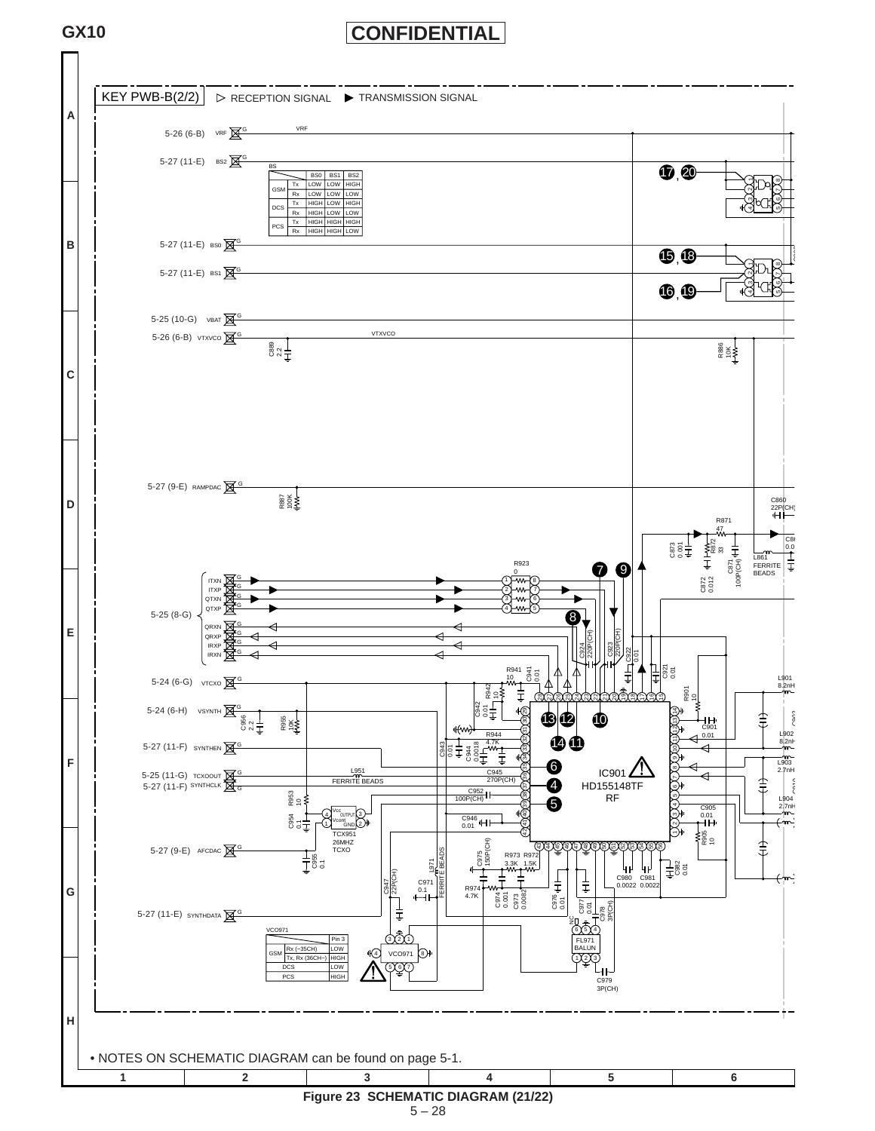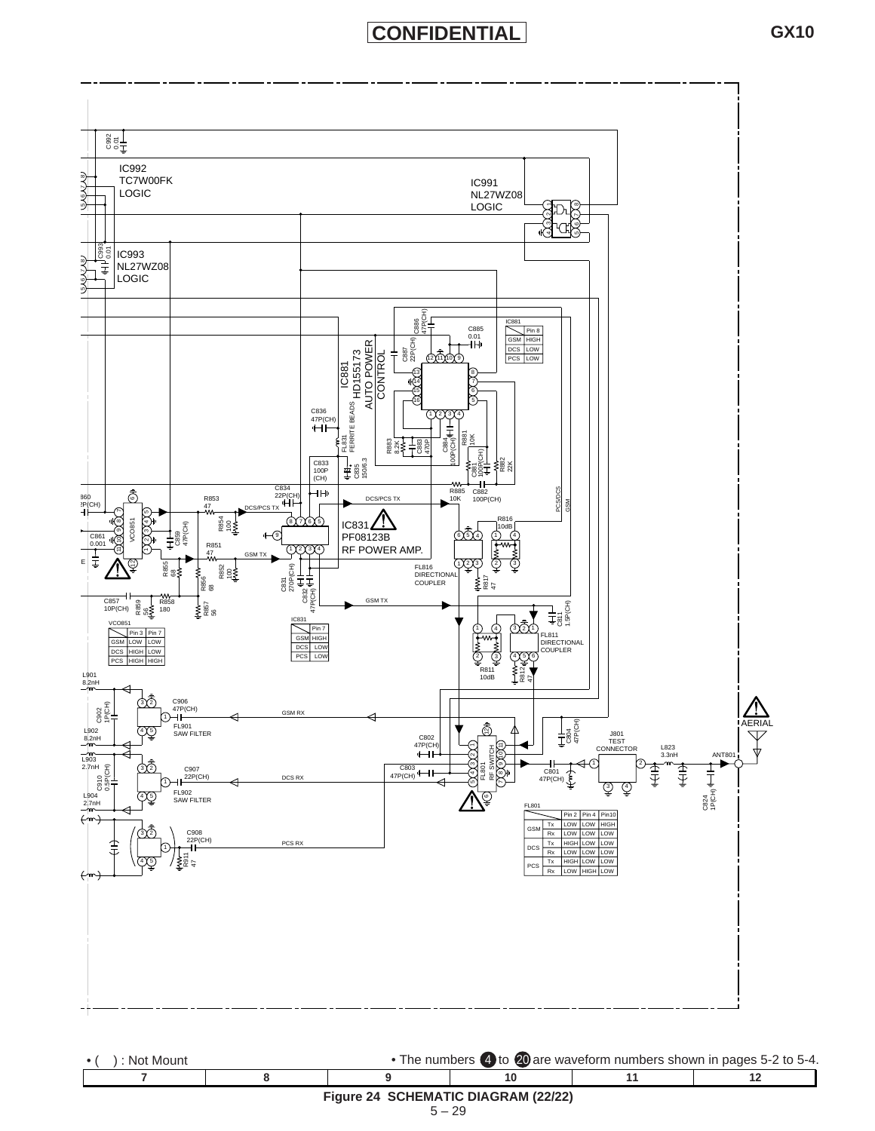

| \ : Not Mount_                                  | • The numbers 4 to 20 are waveform numbers shown in pages 5-2 to 5-4. |  |  |  |  |  |  |  |  |
|-------------------------------------------------|-----------------------------------------------------------------------|--|--|--|--|--|--|--|--|
|                                                 |                                                                       |  |  |  |  |  |  |  |  |
| Figure 24 SCHEMATIC DIAGRAM (22/22)<br>$5 - 29$ |                                                                       |  |  |  |  |  |  |  |  |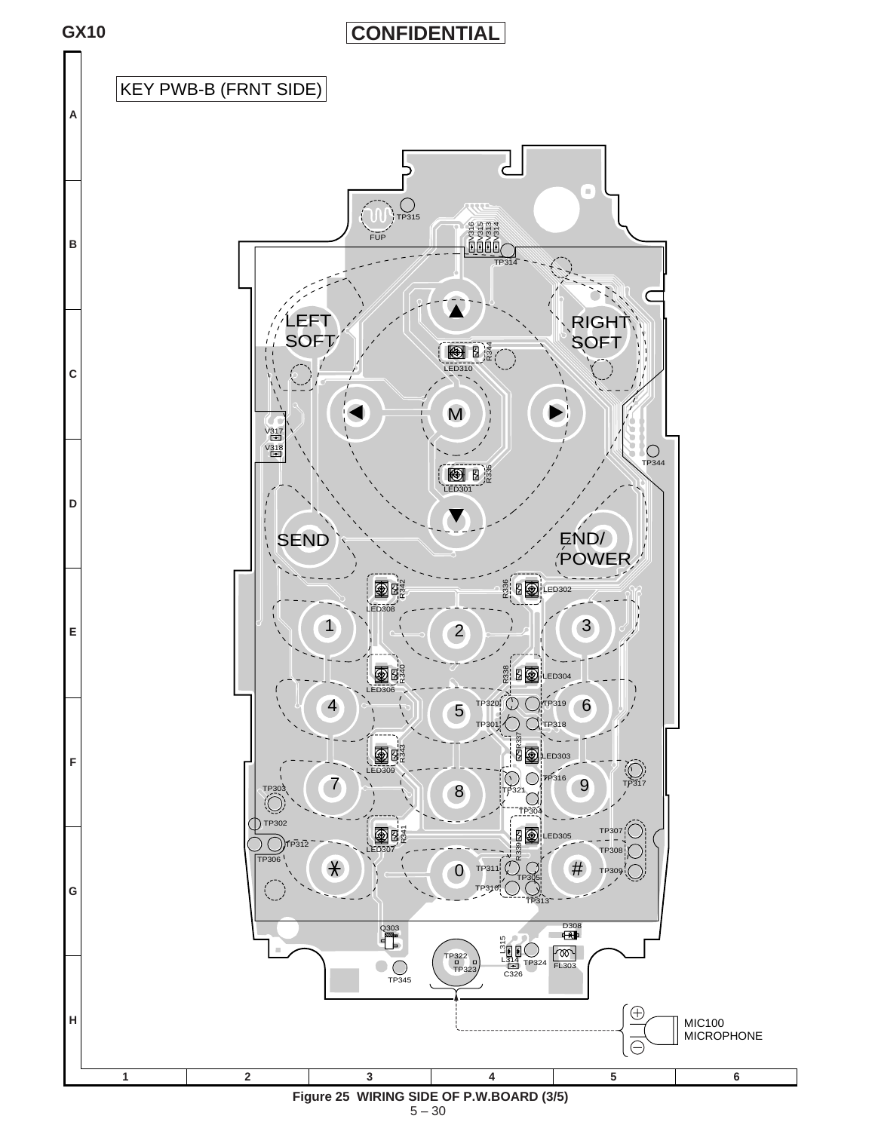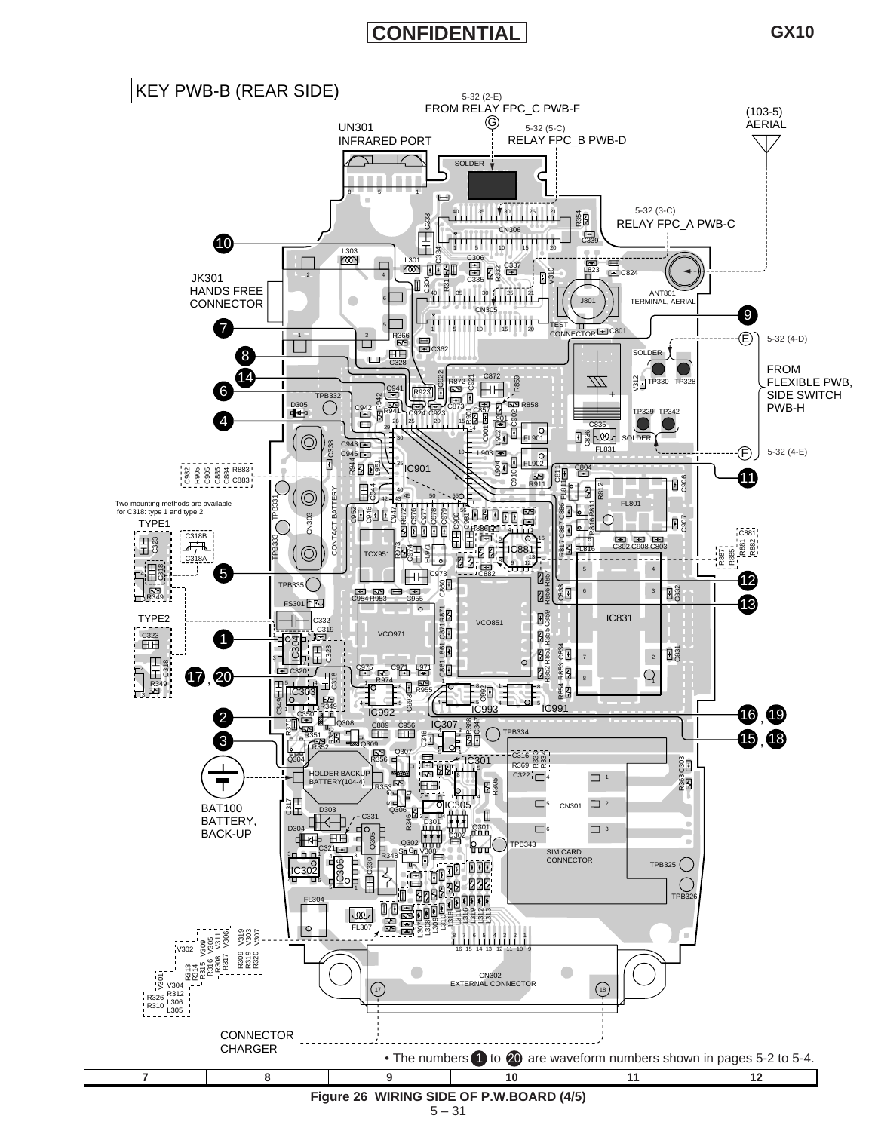